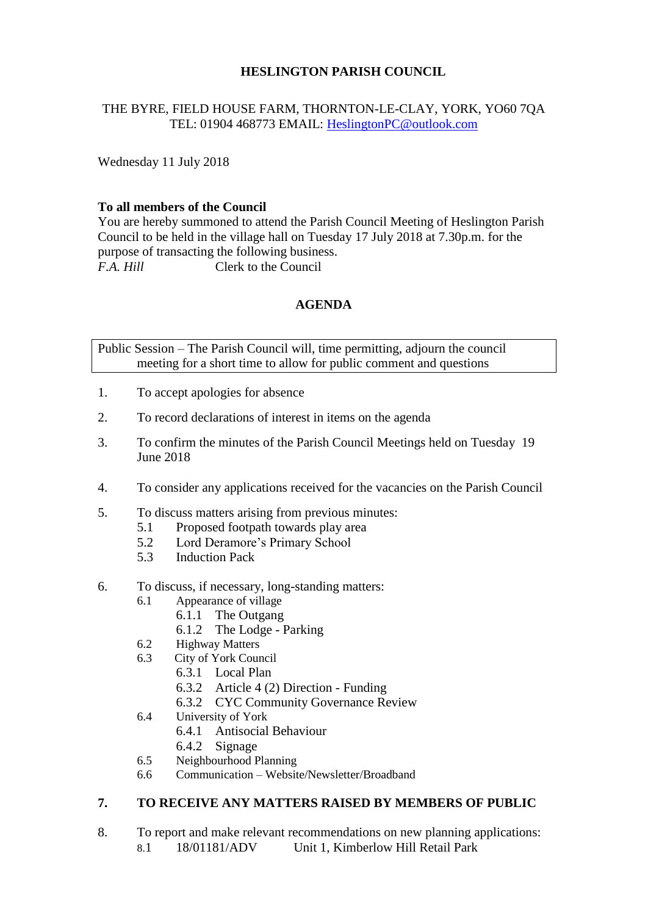# **HESLINGTON PARISH COUNCIL**

## THE BYRE, FIELD HOUSE FARM, THORNTON-LE-CLAY, YORK, YO60 7QA TEL: 01904 468773 EMAIL: [HeslingtonPC@outlook.com](mailto:HeslingtonPC@outlook.com)

Wednesday 11 July 2018

#### **To all members of the Council**

You are hereby summoned to attend the Parish Council Meeting of Heslington Parish Council to be held in the village hall on Tuesday 17 July 2018 at 7.30p.m. for the purpose of transacting the following business. *F.A. Hill* Clerk to the Council

### **AGENDA**

Public Session – The Parish Council will, time permitting, adjourn the council meeting for a short time to allow for public comment and questions

- 1. To accept apologies for absence
- 2. To record declarations of interest in items on the agenda
- 3. To confirm the minutes of the Parish Council Meetings held on Tuesday 19 June 2018
- 4. To consider any applications received for the vacancies on the Parish Council
- 5. To discuss matters arising from previous minutes:
	- 5.1 Proposed footpath towards play area
		- 5.2 Lord Deramore's Primary School
		- 5.3 Induction Pack
- 6. To discuss, if necessary, long-standing matters:
	- 6.1 Appearance of village
		- 6.1.1 The Outgang
		- 6.1.2 The Lodge Parking
	- 6.2 Highway Matters
	- 6.3 City of York Council
		- 6.3.1 Local Plan
		- 6.3.2 Article 4 (2) Direction Funding
		- 6.3.2 CYC Community Governance Review
	- 6.4 University of York
		- 6.4.1 Antisocial Behaviour
		- 6.4.2 Signage
	- 6.5 Neighbourhood Planning
	- 6.6 Communication Website/Newsletter/Broadband

# **7. TO RECEIVE ANY MATTERS RAISED BY MEMBERS OF PUBLIC**

- 8. To report and make relevant recommendations on new planning applications:
	- 8.1 18/01181/ADV Unit 1, Kimberlow Hill Retail Park